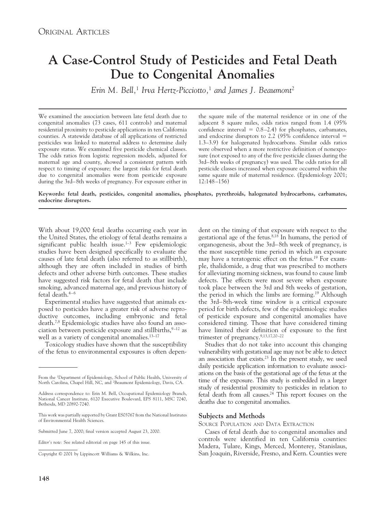# **A Case-Control Study of Pesticides and Fetal Death Due to Congenital Anomalies**

*Erin M. Bell,*<sup>1</sup> *Irva Hertz-Picciotto,*<sup>1</sup> *and James J. Beaumont*<sup>2</sup>

We examined the association between late fetal death due to congenital anomalies (73 cases, 611 controls) and maternal residential proximity to pesticide applications in ten California counties. A statewide database of all applications of restricted pesticides was linked to maternal address to determine daily exposure status. We examined five pesticide chemical classes. The odds ratios from logistic regression models, adjusted for maternal age and county, showed a consistent pattern with respect to timing of exposure; the largest risks for fetal death due to congenital anomalies were from pesticide exposure during the 3rd–8th weeks of pregnancy. For exposure either in

the square mile of the maternal residence or in one of the adjacent 8 square miles, odds ratios ranged from 1.4 (95% confidence interval =  $0.8-2.4$ ) for phosphates, carbamates, and endocrine disruptors to 2.2 (95% confidence interval  $=$ 1.3–3.9) for halogenated hydrocarbons. Similar odds ratios were observed when a more restrictive definition of nonexposure (not exposed to any of the five pesticide classes during the 3rd–8th weeks of pregnancy) was used. The odds ratios for all pesticide classes increased when exposure occurred within the same square mile of maternal residence. (Epidemiology 2001; 12:148–156)

**Keywords: fetal death, pesticides, congenital anomalies, phosphates, pyrethroids, halogenated hydrocarbons, carbamates, endocrine disruptors.**

With about 19,000 fetal deaths occurring each year in the United States, the etiology of fetal deaths remains a significant public health issue.<sup>1-3</sup> Few epidemiologic studies have been designed specifically to evaluate the causes of late fetal death (also referred to as stillbirth), although they are often included in studies of birth defects and other adverse birth outcomes. These studies have suggested risk factors for fetal death that include smoking, advanced maternal age, and previous history of fetal death.4–6

Experimental studies have suggested that animals exposed to pesticides have a greater risk of adverse reproductive outcomes, including embryonic and fetal death.7,8 Epidemiologic studies have also found an association between pesticide exposure and stillbirths,  $9-12$  as well as a variety of congenital anomalies.<sup>13-17</sup>

Toxicology studies have shown that the susceptibility of the fetus to environmental exposures is often depen-

**148**

dent on the timing of that exposure with respect to the gestational age of the fetus.8,18 In humans, the period of organogenesis, about the 3rd–8th week of pregnancy, is the most susceptible time period in which an exposure may have a teratogenic effect on the fetus.<sup>19</sup> For example, thalidomide, a drug that was prescribed to mothers for alleviating morning sickness, was found to cause limb defects. The effects were most severe when exposure took place between the 3rd and 8th weeks of gestation, the period in which the limbs are forming.19 Although the 3rd–8th-week time window is a critical exposure period for birth defects, few of the epidemiologic studies of pesticide exposure and congenital anomalies have considered timing. Those that have considered timing have limited their definition of exposure to the first trimester of pregnancy.9,13,17,20–22

Studies that do not take into account this changing vulnerability with gestational age may not be able to detect an association that exists.23 In the present study, we used daily pesticide application information to evaluate associations on the basis of the gestational age of the fetus at the time of the exposure. This study is embedded in a larger study of residential proximity to pesticides in relation to fetal death from all causes.<sup>24</sup> This report focuses on the deaths due to congenital anomalies.

# **Subjects and Methods**

SOURCE POPULATION AND DATA EXTRACTION

Cases of fetal death due to congenital anomalies and controls were identified in ten California counties: Madera, Tulare, Kings, Merced, Monterey, Stanislaus, San Joaquin, Riverside, Fresno, and Kern. Counties were

From the <sup>1</sup>Department of Epidemiology, School of Public Health, University of North Carolina, Chapel Hill, NC, and <sup>2</sup> Beaumont Epidemiology, Davis, CA.

Address correspondence to: Erin M. Bell, Occupational Epidemiology Branch, National Cancer Institute, 6120 Executive Boulevard, EPS 8111, MSC 7240, Bethesda, MD 20892-7240.

This work was partially supported by Grant ES03767 from the National Institutes of Environmental Health Sciences.

Submitted June 7, 2000; final version accepted August 23, 2000.

*Editor's note:* See related editorial on page 145 of this issue.

Copyright © 2001 by Lippincott Williams & Wilkins, Inc.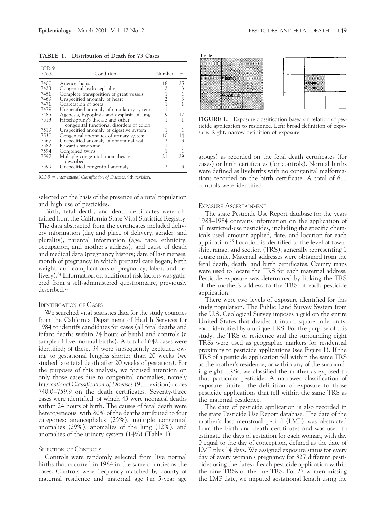**TABLE 1. Distribution of Death for 73 Cases**

| ICD-9<br>Code | Condition                                  | Number | $\%$ |
|---------------|--------------------------------------------|--------|------|
| 7400          | Anencephalus                               | 18     | 25   |
| 7423          | Congenital hydrocephalus                   |        | 3    |
| 7451          | Complete transposition of great vessels    |        |      |
| 7469          | Unspecified anomaly of heart               |        | 3    |
| 7471          | Coarctation of aorta                       |        |      |
| 7479          | Unspecified anomaly of circulatory system  |        |      |
| 7485          | Agenesis, hypoplasia and dysplasia of lung |        | 12   |
| 7513          | Hirschsprung's disease and other           |        |      |
|               | congenital functional disorders of colon   |        |      |
| 7519          | Unspecified anomaly of digestive system    |        |      |
| 7530          | Congenital anomalies of urinary system     | 10     | 14   |
| 7567          | Unspecified anomaly of abdominal wall      |        | 3    |
| 7582          | Edward's syndrome                          |        |      |
| 7594          | Conjoined twins                            |        |      |
| 7597          | Multiple congenital anomalies as           | 21     | 29   |
|               | described                                  |        |      |
| 7599          | Unspecified congenital anomaly             |        | 3    |

ICD-9 = International Classification of Diseases, 9th revision.

selected on the basis of the presence of a rural population and high use of pesticides.

Birth, fetal death, and death certificates were obtained from the California State Vital Statistics Registry. The data abstracted from the certificates included delivery information (day and place of delivery, gender, and plurality), parental information (age, race, ethnicity, occupation, and mother's address), and cause of death and medical data (pregnancy history; date of last menses; month of pregnancy in which prenatal care began; birth weight; and complications of pregnancy, labor, and delivery).24 Information on additional risk factors was gathered from a self-administered questionnaire, previously described.23

### IDENTIFICATION OF CASES

We searched vital statistics data for the study counties from the California Department of Health Services for 1984 to identify candidates for cases (all fetal deaths and infant deaths within 24 hours of birth) and controls (a sample of live, normal births). A total of 642 cases were identified; of these, 34 were subsequently excluded owing to gestational lengths shorter than 20 weeks (we studied late fetal death after 20 weeks of gestation). For the purposes of this analysis, we focused attention on only those cases due to congenital anomalies, namely *International Classification of Diseases* (9th revision) codes 740.0–759.9 on the death certificates. Seventy-three cases were identified, of which 43 were neonatal deaths within 24 hours of birth. The causes of fetal death were heterogeneous, with 80% of the deaths attributed to four categories: anencephalus (25%), multiple congenital anomalies (29%), anomalies of the lung (12%), and anomalies of the urinary system (14%) (Table 1).

## SELECTION OF CONTROLS

Controls were randomly selected from live normal births that occurred in 1984 in the same counties as the cases. Controls were frequency matched by county of maternal residence and maternal age (in 5-year age



**FIGURE 1.** Exposure classification based on relation of pesticide application to residence. Left: broad definition of exposure. Right: narrow definition of exposure.

groups) as recorded on the fetal death certificates (for cases) or birth certificates (for controls). Normal births were defined as livebirths with no congenital malformations recorded on the birth certificate. A total of 611 controls were identified.

#### EXPOSURE ASCERTAINMENT

The state Pesticide Use Report database for the years 1983–1984 contains information on the application of all restricted-use pesticides, including the specific chemicals used, amount applied, date, and location for each application.25 Location is identified to the level of township, range, and section (TRS), generally representing 1 square mile. Maternal addresses were obtained from the fetal death, death, and birth certificates. County maps were used to locate the TRS for each maternal address. Pesticide exposure was determined by linking the TRS of the mother's address to the TRS of each pesticide application.

There were two levels of exposure identified for this study population. The Public Land Survey System from the U.S. Geological Survey imposes a grid on the entire United States that divides it into 1-square mile units, each identified by a unique TRS. For the purpose of this study, the TRS of residence and the surrounding eight TRSs were used as geographic markers for residential proximity to pesticide applications (see Figure 1). If the TRS of a pesticide application fell within the same TRS as the mother's residence, or within any of the surrounding eight TRSs, we classified the mother as exposed to that particular pesticide. A narrower classification of exposure limited the definition of exposure to those pesticide applications that fell within the same TRS as the maternal residence.

The date of pesticide application is also recorded in the state Pesticide Use Report database. The date of the mother's last menstrual period (LMP) was abstracted from the birth and death certificates and was used to estimate the days of gestation for each woman, with day 0 equal to the day of conception, defined as the date of LMP plus 14 days. We assigned exposure status for every day of every woman's pregnancy for 327 different pesticides using the dates of each pesticide application within the nine TRSs or the one TRS. For 27 women missing the LMP date, we imputed gestational length using the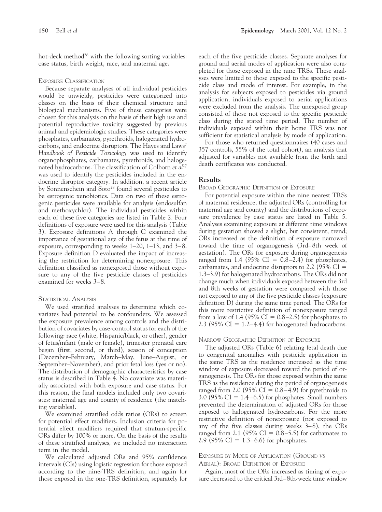hot-deck method<sup>26</sup> with the following sorting variables: case status, birth weight, race, and maternal age.

# EXPOSURE CLASSIFICATION

Because separate analyses of all individual pesticides would be unwieldy, pesticides were categorized into classes on the basis of their chemical structure and biological mechanisms. Five of these categories were chosen for this analysis on the basis of their high use and potential reproductive toxicity suggested by previous animal and epidemiologic studies. These categories were phosphates, carbamates, pyrethroids, halogenated hydrocarbons, and endocrine disruptors. The Hayes and Laws<sup>7</sup> *Handbook of Pesticide Toxicology* was used to identify organophosphates, carbamates, pyrethroids, and halogenated hydrocarbons. The classification of Colborn *et al*<sup>27</sup> was used to identify the pesticides included in the endocrine disruptor category. In addition, a recent article by Sonnenschein and Soto<sup>28</sup> found several pesticides to be estrogenic xenobiotics. Data on two of these estrogenic pesticides were available for analysis (endosulfan and methoxychlor). The individual pesticides within each of these five categories are listed in Table 2. Four definitions of exposure were used for this analysis (Table 3). Exposure definitions A through C examined the importance of gestational age of the fetus at the time of exposure, corresponding to weeks 1–20, 1–13, and 3–8. Exposure definition D evaluated the impact of increasing the restriction for determining nonexposure. This definition classified as nonexposed those without exposure to any of the five pesticide classes of pesticides examined for weeks 3–8.

# STATISTICAL ANALYSIS

We used stratified analyses to determine which covariates had potential to be confounders. We assessed the exposure prevalence among controls and the distribution of covariates by case-control status for each of the following: race (white, Hispanic/black, or other), gender of fetus/infant (male or female), trimester prenatal care began (first, second, or third), season of conception (December–February, March–May, June–August, or September–November), and prior fetal loss (yes or no). The distribution of demographic characteristics by case status is described in Table 4. No covariate was materially associated with both exposure and case status. For this reason, the final models included only two covariates: maternal age and county of residence (the matching variables).

We examined stratified odds ratios (ORs) to screen for potential effect modifiers. Inclusion criteria for potential effect modifiers required that stratum-specific ORs differ by 100% or more. On the basis of the results of these stratified analyses, we included no interaction term in the model.

We calculated adjusted ORs and 95% confidence intervals (CIs) using logistic regression for those exposed according to the nine-TRS definition, and again for those exposed in the one-TRS definition, separately for

each of the five pesticide classes. Separate analyses for ground and aerial modes of application were also completed for those exposed in the nine TRSs. These analyses were limited to those exposed to the specific pesticide class and mode of interest. For example, in the analysis for subjects exposed to pesticides via ground application, individuals exposed to aerial applications were excluded from the analysis. The unexposed group consisted of those not exposed to the specific pesticide class during the stated time period. The number of individuals exposed within their home TRS was not sufficient for statistical analysis by mode of application.

For those who returned questionnaires (40 cases and 357 controls, 55% of the total cohort), an analysis that adjusted for variables not available from the birth and death certificates was conducted.

# **Results**

BROAD GEOGRAPHIC DEFINITION OF EXPOSURE

For potential exposure within the nine nearest TRSs of maternal residence, the adjusted ORs (controlling for maternal age and county) and the distributions of exposure prevalence by case status are listed in Table 5. Analyses examining exposure at different time windows during gestation showed a slight, but consistent, trend; ORs increased as the definition of exposure narrowed toward the time of organogenesis (3rd–8th week of gestation). The ORs for exposure during organogenesis ranged from 1.4 (95% CI =  $0.8-2.4$ ) for phosphates, carbamates, and endocrine disruptors to 2.2 (95%  $CI =$ 1.3–3.9) for halogenated hydrocarbons. The ORs did not change much when individuals exposed between the 3rd and 8th weeks of gestation were compared with those not exposed to any of the five pesticide classes (exposure definition D) during the same time period. The ORs for this more restrictive definition of nonexposure ranged from a low of 1.4 (95% CI =  $0.8-2.5$ ) for phosphates to 2.3 (95%  $CI = 1.2-4.4$ ) for halogenated hydrocarbons.

# NARROW GEOGRAPHIC DEFINITION OF EXPOSURE

The adjusted ORs (Table 6) relating fetal death due to congenital anomalies with pesticide application in the same TRS as the residence increased as the time window of exposure decreased toward the period of organogenesis. The ORs for those exposed within the same TRS as the residence during the period of organogenesis ranged from 2.0 (95% CI =  $0.8-4.9$ ) for pyrethroids to 3.0 (95% CI =  $1.4-6.5$ ) for phosphates. Small numbers prevented the determination of adjusted ORs for those exposed to halogenated hydrocarbons. For the more restrictive definition of nonexposure (not exposed to any of the five classes during weeks 3–8), the ORs ranged from 2.1 (95% CI =  $0.8-5.5$ ) for carbamates to 2.9 (95% CI =  $1.3-6.6$ ) for phosphates.

# EXPOSURE BY MODE OF APPLICATION (GROUND *VS* AERIAL): BROAD DEFINITION OF EXPOSURE

Again, most of the ORs increased as timing of exposure decreased to the critical 3rd–8th-week time window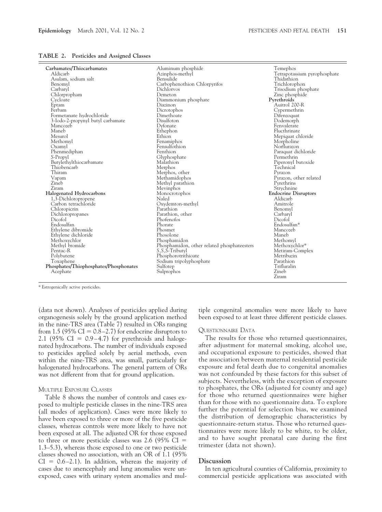| Carbamates/Thiocarbamates              | Aluminum phosphide                          | Temephos                     |
|----------------------------------------|---------------------------------------------|------------------------------|
| Aldicarb                               | Azinphos-methyl                             | Tetrapotassium pyrophosphate |
| Asulam, sodium salt                    | Bensulide                                   | Thidathion                   |
| Benomyl                                | Carbophenothion Chlorpyrifos                | Trichlorophon                |
| Carbaryl                               | Dichlorvos                                  | Trisodium phosphate          |
| Chlorpropham                           | Demeton                                     | Zinc phosphide               |
| Cycloate                               | Diammonium phosphate                        | Pyrethroids                  |
| Eptam                                  | Diazinon                                    | Auitrol 200-R                |
| Ferbam                                 | Dicrotophos                                 | Cypermethrin                 |
| Formetanate hydrochloride              | Dimethoate                                  | Difenzoquat                  |
| 3-Iodo-2-propynyl butyl carbamate      | Disulfoton                                  | Dodemorph                    |
| Mancozeb                               | Dyfonate                                    | Fenvalerate                  |
| Maneh                                  | Ethephon                                    | Flucthrinate                 |
| Mesurol                                | Ethion                                      | Mepiquat chloride            |
| Methomyl                               | Fenamiphos                                  | Morpholine                   |
| Oxamyl                                 | Fensulfothion                               | Norflurazon                  |
| Phenmediphan                           | Fenthion                                    | Paraquat dichloride          |
| S-Propyl                               | Glyphosphate                                | Permethrin                   |
| Butylethylthiocarbamate                | Malathion                                   | Piperonyl butoxide           |
| Thiobencarb                            | Merphos                                     | Technical                    |
| Thiram                                 | Merphos, other                              | Pyrazon                      |
| Vapam                                  | Methamidophos                               | Pyrazon, other related       |
| Zineb                                  | Methyl parathion                            | Pyrethrins                   |
| Ziram                                  | Mevinphos                                   | Strychnine                   |
| Halogenated Hydrocarbons               | Monocrotophos                               | <b>Endocrine Disruptors</b>  |
| 1,3-Dichloropropene                    | Naled                                       | Aldicarb                     |
| Carbon tetrachloride                   | Oxydemton-methyl                            | Amitrole                     |
| Chloropicrin                           | Parathion                                   | Benomyl                      |
| Dichloropropanes                       | Parathion, other                            | Carbaryl                     |
| Dicofol                                | Phofenofos                                  | Dicofol                      |
| Endosulfan                             | Phorate                                     | Endosulfan*                  |
| Ethylene dibromide                     | Phosmet                                     | Mancozeb                     |
| Ethylene dichloride                    | Phosolone                                   | Maneh                        |
| Methoxychlor                           | Phosphamidon                                | Methomyl                     |
| Methyl bromide                         | Phosphamidon, other related phosphateesters | Methoxychlor*                |
| Pentac-R                               | $S, S, S$ -Tributyl                         | Metiram-Complex              |
| Polybutene                             | Phosphorotrithioate                         | Metribuzin                   |
| Toxaphene                              | Sodium tripolyphosphate                     | Parathion                    |
| Phosphates/Thiophosphates/Phosphonates | Sulfotep                                    | Trifluralin                  |
| Acephate                               | Sulprophos                                  | Zineb                        |
|                                        |                                             | Ziram                        |

**TABLE 2. Pesticides and Assigned Classes**

\* Estrogenically active pesticides.

(data not shown). Analyses of pesticides applied during organogenesis solely by the ground application method in the nine-TRS area (Table 7) resulted in ORs ranging from 1.5 (95% CI =  $0.8-2.7$ ) for endocrine disruptors to 2.1 (95% CI =  $0.9-4.7$ ) for pyrethroids and halogenated hydrocarbons. The number of individuals exposed to pesticides applied solely by aerial methods, even within the nine-TRS area, was small, particularly for halogenated hydrocarbons. The general pattern of ORs was not different from that for ground application.

## MULTIPLE EXPOSURE CLASSES

Table 8 shows the number of controls and cases exposed to multiple pesticide classes in the nine-TRS area (all modes of application). Cases were more likely to have been exposed to three or more of the five pesticide classes, whereas controls were more likely to have not been exposed at all. The adjusted OR for those exposed to three or more pesticide classes was 2.6 (95%  $CI =$ 1.3–5.3), whereas those exposed to one or two pesticide classes showed no association, with an OR of 1.1 (95%  $CI = 0.6–2.1$ ). In addition, whereas the majority of cases due to anencephaly and lung anomalies were unexposed, cases with urinary system anomalies and mul-

tiple congenital anomalies were more likely to have been exposed to at least three different pesticide classes.

## QUESTIONNAIRE DATA

The results for those who returned questionnaires, after adjustment for maternal smoking, alcohol use, and occupational exposure to pesticides, showed that the association between maternal residential pesticide exposure and fetal death due to congenital anomalies was not confounded by these factors for this subset of subjects. Nevertheless, with the exception of exposure to phosphates, the ORs (adjusted for county and age) for those who returned questionnaires were higher than for those with no questionnaire data. To explore further the potential for selection bias, we examined the distribution of demographic characteristics by questionnaire-return status. Those who returned questionnaires were more likely to be white, to be older, and to have sought prenatal care during the first trimester (data not shown).

## **Discussion**

In ten agricultural counties of California, proximity to commercial pesticide applications was associated with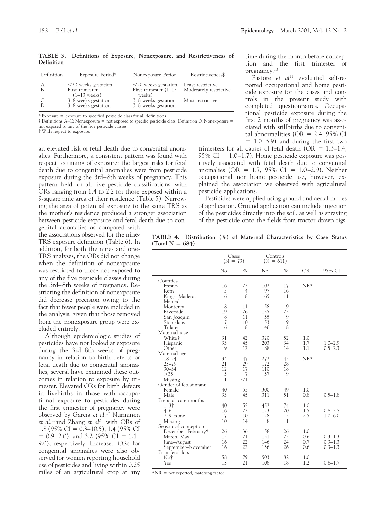| Definition | Exposure Period*                                         | Nonexposure Period†                                         | Restrictiveness‡                             |
|------------|----------------------------------------------------------|-------------------------------------------------------------|----------------------------------------------|
|            | <20 weeks gestation<br>First trimester<br>$(1-13$ weeks) | $<$ 20 weeks gestation Least restrictive<br>weeks)          | First trimester (1–13 Moderately restrictive |
|            | 3–8 weeks gestation<br>3-8 weeks gestation               | 3–8 weeks gestation Most restrictive<br>3-8 weeks gestation |                                              |

**TABLE 3. Definitions of Exposure, Nonexposure, and Restrictiveness of Definition**

 $*$  Exposure  $=$  exposure to specified pesticide class for all definitions.

† Definitions A–C: Nonexposure 5 not exposed to specific pesticide class. Definition D: Nonexposure 5 not exposed to any of the five pesticide classes.

‡ With respect to exposure.

an elevated risk of fetal death due to congenital anomalies. Furthermore, a consistent pattern was found with respect to timing of exposure; the largest risks for fetal death due to congenital anomalies were from pesticide exposure during the 3rd–8th weeks of pregnancy. This pattern held for all five pesticide classifications, with ORs ranging from 1.4 to 2.2 for those exposed within a 9-square mile area of their residence (Table 5). Narrowing the area of potential exposure to the same TRS as the mother's residence produced a stronger association between pesticide exposure and fetal death due to con-

genital anomalies as compared with the associations observed for the nine-TRS exposure definition (Table 6). In addition, for both the nine- and one-TRS analyses, the ORs did not change when the definition of nonexposure was restricted to those not exposed to any of the five pesticide classes during the 3rd–8th weeks of pregnancy. Restricting the definition of nonexposure did decrease precision owing to the fact that fewer people were included in the analysis, given that those removed from the nonexposure group were excluded entirely.

Although epidemiologic studies of pesticides have not looked at exposure during the 3rd–8th weeks of pregnancy in relation to birth defects or fetal death due to congenital anomalies, several have examined these outcomes in relation to exposure by trimester. Elevated ORs for birth defects in livebirths in those with occupational exposure to pesticides during the first trimester of pregnancy were observed by Garcia *et al*, <sup>17</sup> Nurminen *et al*, 29and Zhang *et al*<sup>21</sup> with ORs of 1.8 (95% CI = 0.3–10.5), 1.4 (95% CI  $= 0.9 - 2.0$ , and 3.2 (95% CI = 1.1– 9.0), respectively. Increased ORs for congenital anomalies were also observed for women reporting household use of pesticides and living within 0.25 miles of an agricultural crop at any time during the month before conception and the first trimester of pregnancy.13

Pastore *et al*<sup>11</sup> evaluated self-reported occupational and home pesticide exposure for the cases and controls in the present study with completed questionnaires. Occupational pesticide exposure during the first 2 months of pregnancy was associated with stillbirths due to congenital abnormalities ( $OR = 2.4$ , 95% CI  $= 1.0 - 5.9$ ) and during the first two

trimesters for all causes of fetal death ( $OR = 1.3-1.4$ , 95% CI =  $1.0-1.7$ ). Home pesticide exposure was positively associated with fetal death due to congenital anomalies (OR = 1.7, 95% CI = 1.0–2.9). Neither occupational nor home pesticide use, however, explained the association we observed with agricultural pesticide applications.

Pesticides were applied using ground and aerial modes of application. Ground application can include injection of the pesticides directly into the soil, as well as spraying of the pesticide onto the fields from tractor-drawn rigs.

**TABLE 4. Distribution (%) of Maternal Characteristics by Case Status**  $(Total N = 684)$ 

|                        | Cases<br>$(N = 73)$ |                | Controls<br>$(N = 611)$ |                   |           |             |
|------------------------|---------------------|----------------|-------------------------|-------------------|-----------|-------------|
|                        | No.                 | $\%$           | N <sub>0</sub>          | $\%$              | <b>OR</b> | 95% CI      |
| Counties               |                     |                |                         |                   |           |             |
| Fresno                 | 16                  | 22             | 102                     | 17                | $NR*$     |             |
| Kern                   | $\mathfrak{Z}$      | $\overline{4}$ | 97                      | 16                |           |             |
| Kings, Madera,         | 6                   | 8              | 65                      | 11                |           |             |
| Merced                 |                     |                |                         |                   |           |             |
| Monterey               | 8                   | 11             | 58                      | 9                 |           |             |
| Riverside              | 19                  | 26             | 135                     | 22                |           |             |
| San Joaquin            | 8                   | 11             | 55                      | 9                 |           |             |
| Stanislaus<br>Tulare   | $\overline{7}$<br>6 | 10<br>8        | 53                      | 9<br>$\mathbf{8}$ |           |             |
| Maternal race          |                     |                | 46                      |                   |           |             |
| White†                 | 31                  | 42             | 320                     | 52                | 1.0       |             |
|                        | 33                  | 45             | 203                     | 34                | 1.7       | $1.0 - 2.9$ |
| Hispanic<br>Other      | 9                   | 12             | 88                      | 14                | 1.1       | $0.5 - 2.3$ |
| Maternal age           |                     |                |                         |                   |           |             |
| $18 - 24$              | 34                  | 47             | 272                     | 45                | $NR*$     |             |
| $25 - 29$              | 21                  | 29             | 172                     | 28                |           |             |
| $30 - 34$              | 12                  | 17             | 110                     | 18                |           |             |
| >35                    | 5                   | 7              | 57                      | 9                 |           |             |
| Missing                | $\mathbf{1}$        | <1             |                         |                   |           |             |
| Gender of fetus/infant |                     |                |                         |                   |           |             |
| Female <sup>†</sup>    | 40                  | 55             | 300                     | 49                | 1.0       |             |
| Male                   | 33                  | 45             | 311                     | 51                | 0.8       | $0.5 - 1.8$ |
| Prenatal care months   |                     |                |                         |                   |           |             |
| $1 - 3 +$              | 40                  | 55             | 452                     | 74                | 1.0       |             |
| $4 - 6$                | 16                  | 22             | 123                     | 20                | 1.5       | $0.8 - 2.7$ |
| $7-9$ , none           | 7                   | 10             | 28                      | 5                 | 2.5       | $1.0 - 6.0$ |
| Missing                | 10                  | 14             | 8                       | 1                 |           |             |
| Season of conception   |                     |                |                         |                   |           |             |
| December-February†     | 26                  | 36             | 158                     | 26                | 1.0       |             |
| March-May              | 15                  | 21             | 151                     | 25                | 0.6       | $0.3 - 1.3$ |
| June-August            | 16                  | 22             | 146                     | 24                | 0.7       | $0.3 - 1.3$ |
| September-November     | 16                  | 22             | 156                     | 26                | 0.6       | $0.3 - 1.3$ |
| Prior fetal loss       |                     |                |                         |                   |           |             |
| Not                    | 58                  | 79             | 503                     | 82                | 1.0       |             |
| Yes                    | 15                  | 21             | 108                     | 18                | 1.2       | $0.6 - 1.7$ |

 $*$  NR = not reported, matching factor.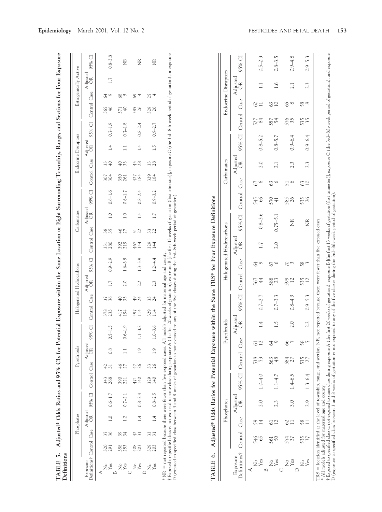| $\overline{\circ}$<br>$0.8 - 3.8$<br>$\frac{\alpha}{2}$<br>95%<br>Adjusted<br>OR<br>1.7                                                                                                                                                                                                                                                                                                                                                                                                                                                                                                                                                                                                         |  |             | $\widetilde{\Xi}$ | $\widetilde{\Xi}$ |                             | $\overline{C}$<br>95%                | $0.5 - 2.3$                                  | $0.8 - 3.5$                                                                                    | $0.9 - 4.8$          | $0.9 - 5.3$       |
|-------------------------------------------------------------------------------------------------------------------------------------------------------------------------------------------------------------------------------------------------------------------------------------------------------------------------------------------------------------------------------------------------------------------------------------------------------------------------------------------------------------------------------------------------------------------------------------------------------------------------------------------------------------------------------------------------|--|-------------|-------------------|-------------------|-----------------------------|--------------------------------------|----------------------------------------------|------------------------------------------------------------------------------------------------|----------------------|-------------------|
| 64<br>68<br>69<br>25<br>4<br>4                                                                                                                                                                                                                                                                                                                                                                                                                                                                                                                                                                                                                                                                  |  |             |                   |                   | <b>Endocrine Disruptors</b> | Adjusted<br>QR                       | $\Box$                                       | 1.6                                                                                            | 2.1                  | 2.3               |
| Control Case<br>571<br>585<br>565<br>46<br>329                                                                                                                                                                                                                                                                                                                                                                                                                                                                                                                                                                                                                                                  |  |             |                   |                   |                             | Case                                 | $\frac{2}{1}$                                | $\frac{30}{2}$                                                                                 | $6\degree$           | $\frac{8}{2}$     |
| 95% CI<br>$0.7 - 1.9$<br>$0.7 - 1.8$<br>$0.8 - 2.4$<br>$0.9 - 2.7$                                                                                                                                                                                                                                                                                                                                                                                                                                                                                                                                                                                                                              |  |             |                   |                   |                             | Control                              | 527<br>84                                    | 557<br>54                                                                                      | 576                  | 535               |
|                                                                                                                                                                                                                                                                                                                                                                                                                                                                                                                                                                                                                                                                                                 |  |             |                   |                   |                             | 95% CI                               | $0.8 - 5.2$                                  | $0.8 - 5.7$                                                                                    | $0.9 - 6.4$          | $0.9 - 6.4$       |
| Adjusted<br>OR<br>1.4<br>$\ddot{1}$<br>1.4<br>$\Box$                                                                                                                                                                                                                                                                                                                                                                                                                                                                                                                                                                                                                                            |  |             |                   |                   |                             |                                      |                                              |                                                                                                |                      |                   |
| Control Case<br>$45$<br>28<br>33<br>423<br>33                                                                                                                                                                                                                                                                                                                                                                                                                                                                                                                                                                                                                                                   |  |             |                   |                   | Carbamates                  | Adjusted<br>OR                       | 2.0                                          | 2.1                                                                                            | 2.3                  | 2.3               |
| 350<br>329<br>307<br>427<br>184<br>261                                                                                                                                                                                                                                                                                                                                                                                                                                                                                                                                                                                                                                                          |  |             |                   |                   |                             | Case                                 | 67                                           | $\circ$<br>63                                                                                  | $\circ$<br>51        | $\frac{30}{2}$    |
| (the first 20 weeks of gestation), exposure B [the first 13 weeks of gestation (first trimester)], exposure C (the 3rd–8th-week period of gestation), or exposure<br>$0.6 - 1.6$<br>95% CI<br>$0.8 - 2.4$<br>$0.9 - 3.2$<br>$0.6 - 1.7$                                                                                                                                                                                                                                                                                                                                                                                                                                                         |  |             |                   |                   |                             | Control                              | 545<br>66                                    | 570                                                                                            | 585                  | 535               |
| Adjusted<br>OR<br>$\overline{1.0}$<br>$\overline{1.0}$<br>1.4<br>$\overline{11}$                                                                                                                                                                                                                                                                                                                                                                                                                                                                                                                                                                                                                |  |             |                   |                   |                             | 95% CI                               | $0.8 - 3.6$                                  | $0.75 - 5.1$                                                                                   | ž                    | $\widetilde{\Xi}$ |
| Case<br>35<br>$rac{46}{27}$<br>$\frac{51}{22}$<br>33                                                                                                                                                                                                                                                                                                                                                                                                                                                                                                                                                                                                                                            |  |             |                   |                   |                             |                                      |                                              |                                                                                                |                      |                   |
| Control<br>331<br>392<br>329<br>467                                                                                                                                                                                                                                                                                                                                                                                                                                                                                                                                                                                                                                                             |  |             |                   |                   |                             | Adjusted<br>ÕR                       | 1.7                                          | 2.0                                                                                            |                      |                   |
| $\overline{\circ}$<br>$0.9 - 2.9$<br>$1.3 - 3.9$<br>$1.2 - 4.4$<br>$1.6 - 3.5$<br>95%                                                                                                                                                                                                                                                                                                                                                                                                                                                                                                                                                                                                           |  |             |                   |                   | Halogenated Hydrocarbons    | Case                                 | 20                                           | $67$ $\sigma$                                                                                  | ζ<br>Σ               | 58 <sub>2</sub>   |
| $\begin{array}{c}\n\text{Adjusted} \\ \text{OR}\n\end{array}$<br>2.0<br>2.3<br>$\overline{1.7}$<br>2.2                                                                                                                                                                                                                                                                                                                                                                                                                                                                                                                                                                                          |  |             |                   |                   |                             | Control                              | 567<br>44                                    | 588                                                                                            | 599<br>12            | 535               |
| Case<br>37<br>423<br>$33 +$<br>$^{49}$<br>24                                                                                                                                                                                                                                                                                                                                                                                                                                                                                                                                                                                                                                                    |  |             |                   |                   |                             | 95% CI                               | $0.7 - 2.7$                                  | $0.7 - 3.3$                                                                                    | $0.8 - 4.9$          | $0.9 - 5.3$       |
| Control<br>329<br>378<br>417<br>194<br>497<br>114                                                                                                                                                                                                                                                                                                                                                                                                                                                                                                                                                                                                                                               |  |             |                   |                   |                             |                                      |                                              |                                                                                                |                      |                   |
| Adjusted* Odds Ratios for Potential Exposure within the Same TRS* for Four Exposure Definitions<br>95% CI<br>$0.5 - 1.5$<br>$0.6 - 1.9$<br>$1.0 - 3.6$<br>$1.1 - 3.2$                                                                                                                                                                                                                                                                                                                                                                                                                                                                                                                           |  | Pyrethroids | Adjusted<br>OR    | 1.4               | 1.5                         | 2.0                                  | 2.2                                          |                                                                                                |                      |                   |
| $\begin{array}{c}\n\text{Adjusted} \\ \text{OR}\n\end{array}$<br>0.8<br>1.9<br>1.9<br>$\Xi$                                                                                                                                                                                                                                                                                                                                                                                                                                                                                                                                                                                                     |  |             |                   |                   |                             | Case                                 | $\frac{61}{2}$                               | $\mathcal{R}$                                                                                  | $\infty$             | 58 L              |
| $47$<br>26<br>33 <sub>0</sub><br>$rac{46}{27}$<br>47                                                                                                                                                                                                                                                                                                                                                                                                                                                                                                                                                                                                                                            |  |             |                   |                   |                             | Control                              | 538                                          | 563                                                                                            | 584                  | 535               |
| Control Case<br>329<br>343<br>390<br>$^{471}_{140}$                                                                                                                                                                                                                                                                                                                                                                                                                                                                                                                                                                                                                                             |  |             |                   |                   |                             | 95% CI                               | $-0.40$                                      | $1.1 - 4.7$                                                                                    | $1.4 - 6.5$          | $1.3 - 6.4$       |
| 95% CI<br>$0.8 - 2.5$<br>$0.6 - 1.7$<br>$0.8 - 2.4$<br>$0.7 - 2.1$                                                                                                                                                                                                                                                                                                                                                                                                                                                                                                                                                                                                                              |  |             |                   |                   |                             |                                      |                                              |                                                                                                |                      |                   |
|                                                                                                                                                                                                                                                                                                                                                                                                                                                                                                                                                                                                                                                                                                 |  |             |                   |                   | Phosphates                  | Adjusted<br>OR                       | 2.0                                          | 2.3                                                                                            | 3.O                  | 2.9               |
| Adjusted<br>OR<br>$\overline{1.0}$<br>1.4<br>1.4<br>1.2                                                                                                                                                                                                                                                                                                                                                                                                                                                                                                                                                                                                                                         |  |             |                   |                   |                             | Case                                 | $\frac{59}{14}$                              | 61                                                                                             | 62                   | $\frac{8}{1}$     |
| 37<br>34<br>$\frac{33}{51}$<br>47                                                                                                                                                                                                                                                                                                                                                                                                                                                                                                                                                                                                                                                               |  |             |                   |                   |                             | Control                              | 546<br>65                                    | 561                                                                                            | 574<br>37            | 535               |
| D (exposed to specified class between 3 and 8 weeks of gestation 18 not exposed to any of the five classes during the 3rd-8th-week period of gestation).<br>* NR = not reported because there were fewer than five exposed cases. All models adjusted for maternal age and county.<br>† Exposed to specified class vs not exposed to same class during exposure A<br>Definitions† Control Case<br>320<br>358<br>$\frac{408}{203}$<br>329<br>Exposure<br>$\stackrel{\circ}{\mathcal{Z}}$<br>$\mathbf{Y}\mathbf{es}$<br>$\stackrel{\circ}{\mathcal{Z}}$<br>$\mathbf{Yes}$<br>Yes<br>$\frac{1}{2}$<br>Yes<br>$\stackrel{\circ}{\mathcal{Z}}$<br>$\Box$<br>$\circlearrowright$<br>$\mathbf{r}$<br>≺ |  |             |                   |                   |                             | Definitions <sup>†</sup><br>Exposure | $\mathcal{L}^{\circ}$<br>Yes<br>$\mathbf{r}$ | $\overset{\circ}{\mathbf{X}}\overset{\circ}{\mathbf{e}}\overset{\circ}{\mathbf{s}}$<br>$\circ$ | $\frac{1}{2}$<br>Yes | 2gs               |

 $TRS =$  location identified at the level of township, range, and section. NR, not reported because there were fewer than five exposed cases. \* All models adjusted for maternal age and county.

TRS = location identified at the level of township, range, and section. NR, not reported because there were fewer than five exposed cases.<br>\* All models adjusted for maternal age and county.<br>† Exposed to specified class to † Exposed to specified class vs not exposed to same class during exposure A (the first 20 weeks of gestation) (first affect first affect first are intestion), exposure B [the first 13 weeks of gestation), exposure C (the 3 D (exposure to specified class between 3 and 8 weeks of gestation *vs* not exposed to any of the five classes during the 3rd–8th-week period of gestation).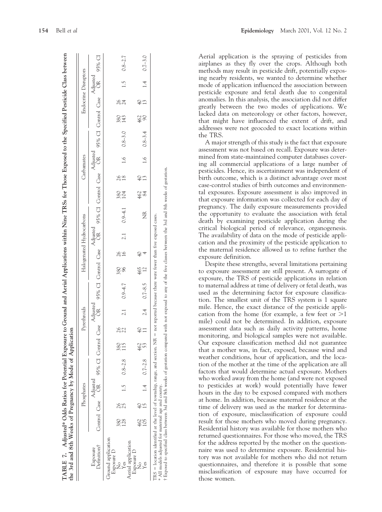| the 3rd and 8th Weeks of Pregnancy by Mode of Application                                                                                                                                                                                                                                                                                                                 |                   |    |            |                                                                                                             |             |                 |               |           |    |                          |             |              |          |               |             |             |    |                             |             |
|---------------------------------------------------------------------------------------------------------------------------------------------------------------------------------------------------------------------------------------------------------------------------------------------------------------------------------------------------------------------------|-------------------|----|------------|-------------------------------------------------------------------------------------------------------------|-------------|-----------------|---------------|-----------|----|--------------------------|-------------|--------------|----------|---------------|-------------|-------------|----|-----------------------------|-------------|
|                                                                                                                                                                                                                                                                                                                                                                           |                   |    | Phosphates |                                                                                                             |             | Pyrethroids     |               |           |    | Halogenated Hydrocarbons |             |              |          | Carbamates    |             |             |    | <b>Endocrine Disruptors</b> |             |
| Definition <sup>†</sup><br>Exposure                                                                                                                                                                                                                                                                                                                                       |                   |    | Adjusted   | Control Case OR 95% Cl Control Case OR 95% Cl Control Case OR 95% Cl Control Case OR S9% Cl Control Case OR |             | Adjusted        |               |           |    | Adjusted                 |             |              |          | Adjusted      |             |             |    | Adjusted                    | 95% CI      |
| Ground application<br>Exposure D<br>No                                                                                                                                                                                                                                                                                                                                    |                   |    |            |                                                                                                             |             |                 |               |           |    |                          |             |              |          |               |             |             |    |                             |             |
|                                                                                                                                                                                                                                                                                                                                                                           | 380<br>128        | 26 |            | 1.5 0.8-2.8 115                                                                                             | 26          |                 | $0.9 - 4.7$   | 380       | 26 |                          |             | 3804         | 18<br>26 |               | $0.8 - 3.0$ | 380         | 24 | 1.5                         |             |
| Aerial application<br><b>Yes</b>                                                                                                                                                                                                                                                                                                                                          |                   |    |            |                                                                                                             |             | $\overline{21}$ |               |           |    | $\overline{2.1}$         | $0.9 - 4.1$ |              |          | $\frac{6}{1}$ |             |             |    |                             | $0.8 - 2.7$ |
| Exposure D<br>ż                                                                                                                                                                                                                                                                                                                                                           | 462<br>105<br>105 |    |            |                                                                                                             | $rac{1}{4}$ |                 |               | 465<br>12 |    |                          |             | $rac{2}{84}$ | 42       |               |             | $rac{2}{9}$ | 92 |                             |             |
|                                                                                                                                                                                                                                                                                                                                                                           |                   |    |            | 1.4 $0.7-2.8$ 53                                                                                            |             |                 | $2.4$ 0.7-8.5 |           |    |                          | ž           |              |          | 1.6           | $0.8 - 3.4$ |             |    | 1.4                         | $0.7 - 3.0$ |
| t Exposed to specified class between 3rd and 8th weeks of gestation compared with not exposed to any of the five classes between the 3rd and 8th weeks of gestation.<br>TRS = location identified at the level of township, range, and section. NR = not reported because there were fewer than five exposed cases.<br>* All models adjusted for maternal age and county. |                   |    |            |                                                                                                             |             |                 |               |           |    |                          |             |              |          |               |             |             |    |                             |             |

Aerial application is the spraying of pesticides from airplanes as they fly over the crops. Although both methods may result in pesticide drift, potentially exposing nearby residents, we wanted to determine whether mode of application influenced the association between pesticide exposure and fetal death due to congenital anomalies. In this analysis, the association did not differ greatly between the two modes of applications. We lacked data on meteorology or other factors, however, that might have influenced the extent of drift, and addresses were not geocoded to exact locations within the TRS.

A major strength of this study is the fact that exposure assessment was not based on recall. Exposure was determined from state-maintained computer databases covering all commercial applications of a large number of pesticides. Hence, its ascertainment was independent of birth outcome, which is a distinct advantage over most case-control studies of birth outcomes and environmental exposures. Exposure assessment is also improved in that exposure information was collected for each day of pregnancy. The daily exposure measurements provided the opportunity to evaluate the association with fetal death by examining pesticide application during the critical biological period of relevance, organogenesis. The availability of data on the mode of pesticide application and the proximity of the pesticide application to the maternal residence allowed us to refine further the exposure definition.

Despite these strengths, several limitations pertaining to exposure assessment are still present. A surrogate of exposure, the TRS of pesticide applications in relation to maternal address at time of delivery or fetal death, was used as the determining factor for exposure classification. The smallest unit of the TRS system is 1 square mile. Hence, the exact distance of the pesticide application from the home (for example, a few feet or  $>1$ mile) could not be determined. In addition, exposure assessment data such as daily activity patterns, home monitoring, and biological samples were not available. Our exposure classification method did not guarantee that a mother was, in fact, exposed, because wind and weather conditions, hour of application, and the location of the mother at the time of the application are all factors that would determine actual exposure. Mothers who worked away from the home (and were not exposed to pesticides at work) would potentially have fewer hours in the day to be exposed compared with mothers at home. In addition, because maternal residence at the time of delivery was used as the marker for determination of exposure, misclassification of exposure could result for those mothers who moved during pregnancy. Residential history was available for those mothers who returned questionnaires. For those who moved, the TRS for the address reported by the mother on the questionnaire was used to determine exposure. Residential history was not available for mothers who did not return questionnaires, and therefore it is possible that some misclassification of exposure may have occurred for those women.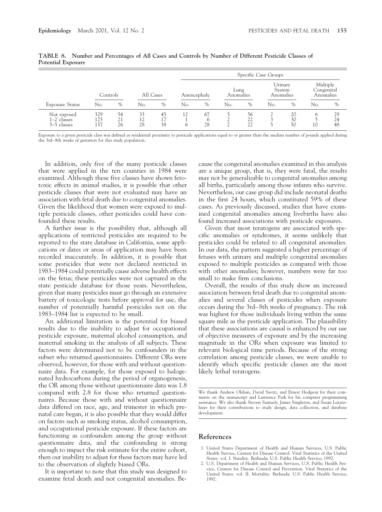|                                               |                   |          |                |          |             |          |                   |                | Specific Case Groups           |                |                                     |                |
|-----------------------------------------------|-------------------|----------|----------------|----------|-------------|----------|-------------------|----------------|--------------------------------|----------------|-------------------------------------|----------------|
|                                               | Controls          |          | All Cases      |          | Anencephaly |          | Lung<br>Anomalies |                | Urinary<br>System<br>Anomalies |                | Multiple<br>Congenital<br>Anomalies |                |
| <b>Exposure Status</b>                        | No.               | $\%$     | No.            | $\%$     | No.         | $\%$     | No.               | $\%$           | No.                            | $\%$           | No.                                 | $\%$           |
| Not exposed<br>$1-2$ classes<br>$3-5$ classes | 329<br>125<br>157 | 54<br>26 | 33<br>12<br>28 | 45<br>38 | 12<br>6     | 67<br>28 |                   | 56<br>22<br>22 |                                | 20<br>30<br>50 | O<br>10                             | 29<br>24<br>48 |

**TABLE 8. Number and Percentages of All Cases and Controls by Number of Different Pesticide Classes of Potential Exposure**

Exposure to a given pesticide class was defined as residential proximity to pesticide applications equal to or greater than the median number of pounds applied during the 3rd–8th weeks of gestation for this study population.

In addition, only five of the many pesticide classes that were applied in the ten counties in 1984 were examined. Although these five classes have shown fetotoxic effects in animal studies, it is possible that other pesticide classes that were not evaluated may have an association with fetal death due to congenital anomalies. Given the likelihood that women were exposed to multiple pesticide classes, other pesticides could have confounded these results.

A further issue is the possibility that, although all applications of restricted pesticides are required to be reported to the state database in California, some applications or dates or areas of application may have been recorded inaccurately. In addition, it is possible that some pesticides that were not declared restricted in 1983–1984 could potentially cause adverse health effects on the fetus; these pesticides were not captured in the state pesticide database for those years. Nevertheless, given that many pesticides must go through an extensive battery of toxicologic tests before approval for use, the number of potentially harmful pesticides not on the 1983–1984 list is expected to be small.

An additional limitation is the potential for biased results due to the inability to adjust for occupational pesticide exposure, maternal alcohol consumption, and maternal smoking in the analysis of all subjects. These factors were determined not to be confounders in the subset who returned questionnaires. Different ORs were observed, however, for those with and without questionnaire data. For example, for those exposed to halogenated hydrocarbons during the period of organogenesis, the OR among those without questionnaire data was 1.8 compared with 2.8 for those who returned questionnaires. Because those with and without questionnaire data differed on race, age, and trimester in which prenatal care began, it is also possible that they would differ on factors such as smoking status, alcohol consumption, and occupational pesticide exposure. If these factors are functioning as confounders among the group without questionnaire data, and the confounding is strong enough to impact the risk estimate for the entire cohort, then our inability to adjust for these factors may have led to the observation of slightly biased ORs.

It is important to note that this study was designed to examine fetal death and not congenital anomalies. Because the congenital anomalies examined in this analysis are a unique group, that is, they were fatal, the results may not be generalizable to congenital anomalies among all births, particularly among those infants who survive. Nevertheless, our case group did include neonatal deaths in the first 24 hours, which constituted 59% of these cases. As previously discussed, studies that have examined congenital anomalies among livebirths have also found increased associations with pesticide exposures.

Given that most teratogens are associated with specific anomalies or syndromes, it seems unlikely that pesticides could be related to all congenital anomalies. In our data, the pattern suggested a higher percentage of fetuses with urinary and multiple congenital anomalies exposed to multiple pesticides as compared with those with other anomalies; however, numbers were far too small to make firm conclusions.

Overall, the results of this study show an increased association between fetal death due to congenital anomalies and several classes of pesticides when exposure occurs during the 3rd–8th weeks of pregnancy. The risk was highest for those individuals living within the same square mile as the pesticide application. The plausibility that these associations are causal is enhanced by our use of objective measures of exposure and by the increasing magnitude in the ORs when exposure was limited to relevant biological time periods. Because of the strong correlation among pesticide classes, we were unable to identify which specific pesticide classes are the most likely lethal teratogens.

# **References**

- 1. United States Department of Health and Human Services, U.S. Public Health Service, Centers for Disease Control. Vital Statistics of the United States. vol. I. Natality. Bethesda: U.S. Public Health Service; 1992.
- 2. U.S. Department of Health and Human Services, U.S. Public Health Service, Centers for Disease Control and Prevention. Vital Statistics of the United States. vol. II. Mortality. Bethesda: U.S. Public Health Service; 1992.

We thank Andrew Olshan, David Savitz, and Ernest Hodgson for their comments on the manuscript and Lawrence Park for his computer programming assistance. We also thank Steven Samuels, James Singleton, and Susan Lutzenhiser for their contributions to study design, data collection, and database development.